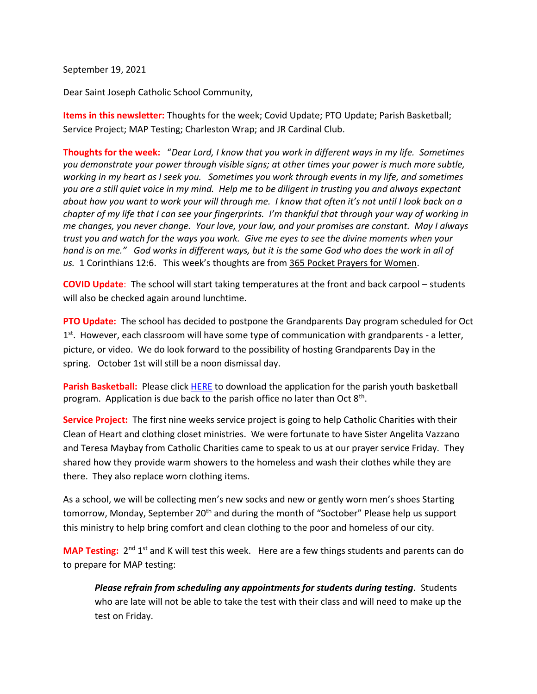September 19, 2021

Dear Saint Joseph Catholic School Community,

**Items in this newsletter:** Thoughts for the week; Covid Update; PTO Update; Parish Basketball; Service Project; MAP Testing; Charleston Wrap; and JR Cardinal Club.

**Thoughts for the week:**"*Dear Lord, I know that you work in different ways in my life. Sometimes you demonstrate your power through visible signs; at other times your power is much more subtle, working in my heart as I seek you. Sometimes you work through events in my life, and sometimes you are a still quiet voice in my mind. Help me to be diligent in trusting you and always expectant about how you want to work your will through me. I know that often it's not until I look back on a chapter of my life that I can see your fingerprints. I'm thankful that through your way of working in me changes, you never change. Your love, your law, and your promises are constant. May I always trust you and watch for the ways you work. Give me eyes to see the divine moments when your hand is on me." God works in different ways, but it is the same God who does the work in all of us.* 1 Corinthians 12:6. This week's thoughts are from 365 Pocket Prayers for Women.

**COVID Update**: The school will start taking temperatures at the front and back carpool – students will also be checked again around lunchtime.

**PTO Update:** The school has decided to postpone the Grandparents Day program scheduled for Oct 1<sup>st</sup>. However, each classroom will have some type of communication with grandparents - a letter, picture, or video. We do look forward to the possibility of hosting Grandparents Day in the spring. October 1st will still be a noon dismissal day.

**Parish Basketball:** Please click [HERE](https://8031f793-3c69-48a4-b7ad-fa51d1caa95c.usrfiles.com/ugd/8031f7_71ec6f41150b4e549e2539338b369ccc.pdf) to download the application for the parish youth basketball program. Application is due back to the parish office no later than Oct  $8<sup>th</sup>$ .

**Service Project:** The first nine weeks service project is going to help Catholic Charities with their Clean of Heart and clothing closet ministries. We were fortunate to have Sister Angelita Vazzano and Teresa Maybay from Catholic Charities came to speak to us at our prayer service Friday. They shared how they provide warm showers to the homeless and wash their clothes while they are there. They also replace worn clothing items.

As a school, we will be collecting men's new socks and new or gently worn men's shoes Starting tomorrow, Monday, September 20<sup>th</sup> and during the month of "Soctober" Please help us support this ministry to help bring comfort and clean clothing to the poor and homeless of our city.

**MAP Testing:** 2<sup>nd</sup> 1<sup>st</sup> and K will test this week. Here are a few things students and parents can do to prepare for MAP testing:

*Please refrain from scheduling any appointments for students during testing.* Students who are late will not be able to take the test with their class and will need to make up the test on Friday.